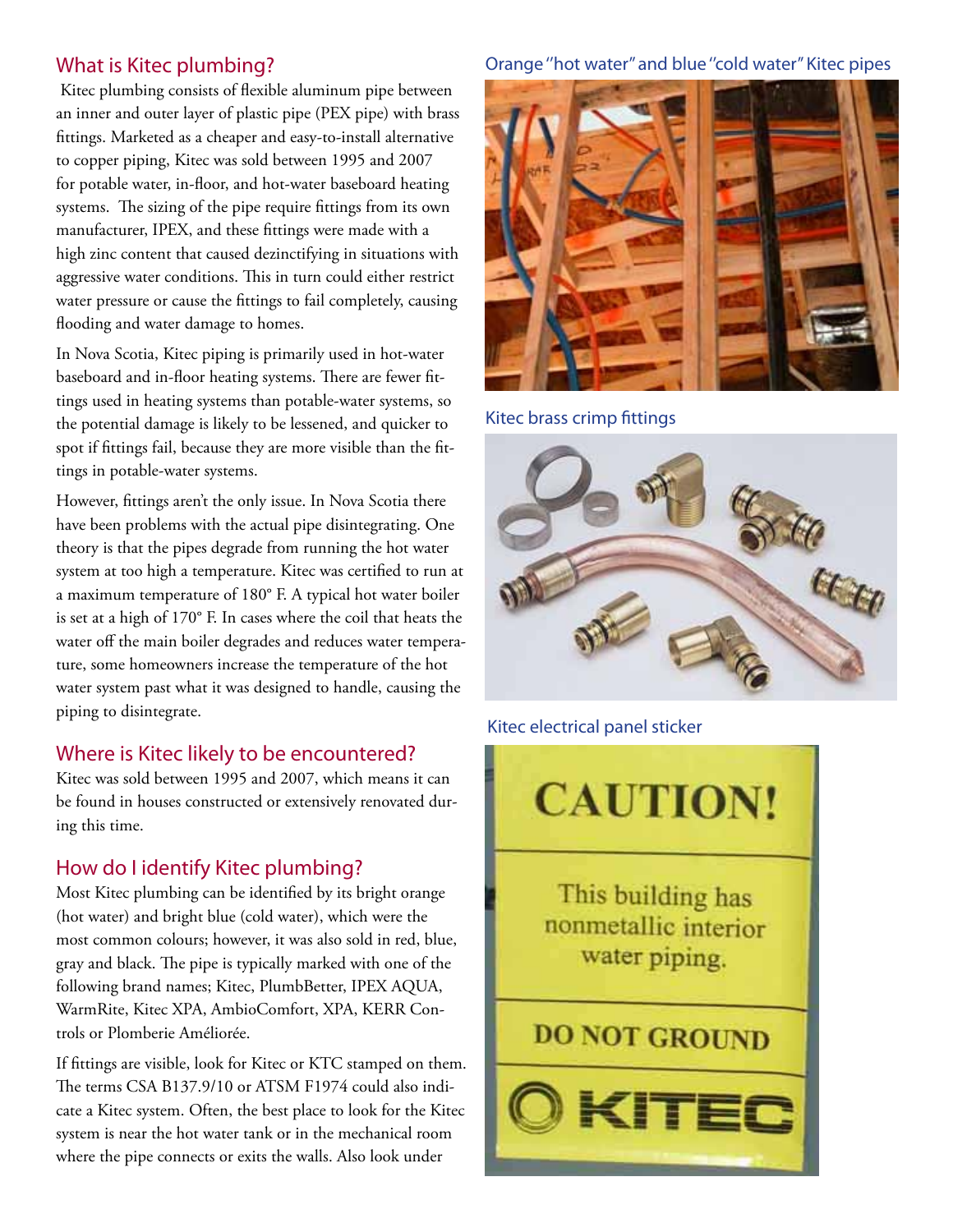## What is Kitec plumbing?

 Kitec plumbing consists of flexible aluminum pipe between an inner and outer layer of plastic pipe (PEX pipe) with brass fittings. Marketed as a cheaper and easy-to-install alternative to copper piping, Kitec was sold between 1995 and 2007 for potable water, in-floor, and hot-water baseboard heating systems. The sizing of the pipe require fittings from its own manufacturer, IPEX, and these fittings were made with a high zinc content that caused dezinctifying in situations with aggressive water conditions. This in turn could either restrict water pressure or cause the fittings to fail completely, causing flooding and water damage to homes.

In Nova Scotia, Kitec piping is primarily used in hot-water baseboard and in-floor heating systems. There are fewer fittings used in heating systems than potable-water systems, so the potential damage is likely to be lessened, and quicker to spot if fittings fail, because they are more visible than the fittings in potable-water systems.

However, fittings aren't the only issue. In Nova Scotia there have been problems with the actual pipe disintegrating. One theory is that the pipes degrade from running the hot water system at too high a temperature. Kitec was certified to run at a maximum temperature of 180° F. A typical hot water boiler is set at a high of 170° F. In cases where the coil that heats the water off the main boiler degrades and reduces water temperature, some homeowners increase the temperature of the hot water system past what it was designed to handle, causing the piping to disintegrate.

## Where is Kitec likely to be encountered?

Kitec was sold between 1995 and 2007, which means it can be found in houses constructed or extensively renovated during this time.

# How do I identify Kitec plumbing?

Most Kitec plumbing can be identified by its bright orange (hot water) and bright blue (cold water), which were the most common colours; however, it was also sold in red, blue, gray and black. The pipe is typically marked with one of the following brand names; Kitec, PlumbBetter, IPEX AQUA, WarmRite, Kitec XPA, AmbioComfort, XPA, KERR Controls or Plomberie Améliorée.

If fittings are visible, look for Kitec or KTC stamped on them. The terms CSA B137.9/10 or ATSM F1974 could also indicate a Kitec system. Often, the best place to look for the Kitec system is near the hot water tank or in the mechanical room where the pipe connects or exits the walls. Also look under

### Orange ''hot water'' and blue ''cold water'' Kitec pipes



Kitec brass crimp fittings



Kitec electrical panel sticker